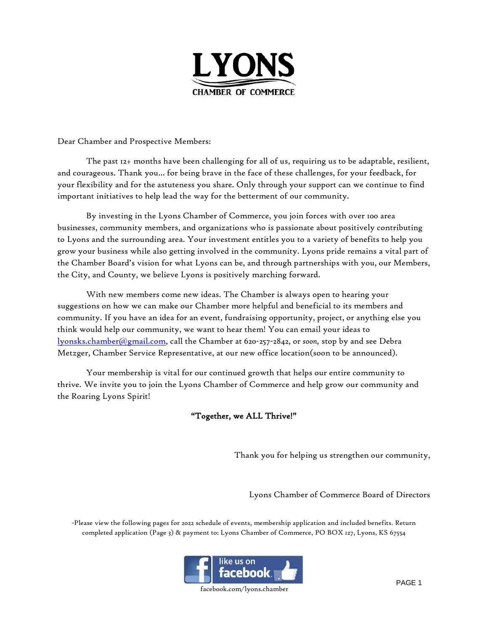

Dear Chamber and Prospective Members:

The past 12+ months have been challenging for all of us, requiring us to be adaptable, resilient, and courageous. Thank you… for being brave in the face of these challenges, for your feedback, for your flexibility and for the astuteness you share. Only through your support can we continue to find important initiatives to help lead the way for the betterment of our community.

By investing in the Lyons Chamber of Commerce, you join forces with over 100 area businesses, community members, and organizations who is passionate about positively contributing to Lyons and the surrounding area. Your investment entitles you to a variety of benefits to help you grow your business while also getting involved in the community. Lyons pride remains a vital part of the Chamber Board's vision for what Lyons can be, and through partnerships with you, our Members, the City, and County, we believe Lyons is positively marching forward.

With new members come new ideas. The Chamber is always open to hearing your suggestions on how we can make our Chamber more helpful and beneficial to its members and community. If you have an idea for an event, fundraising opportunity, project, or anything else you think would help our community, we want to hear them! You can email your ideas to [lyonsks.chamber@gmail.com,](mailto:lyonsks.chamber@gmail.com) call the Chamber at 620-257-2842, or *soon,* stop by and see Debra Metzger, Chamber Service Representative, at our new office location(soon to be announced).

Your membership is vital for our continued growth that helps our entire community to thrive. We invite you to join the Lyons Chamber of Commerce and help grow our community and the Roaring Lyons Spirit!

### "Together, we ALL Thrive!"

Thank you for helping us strengthen our community,

Lyons Chamber of Commerce Board of Directors

-Please view the following pages for 2022 schedule of events, membership application and included benefits. Return completed application (Page 3) & payment to: Lyons Chamber of Commerce, PO BOX 127, Lyons, KS 67554



facebook.com/lyons.chamber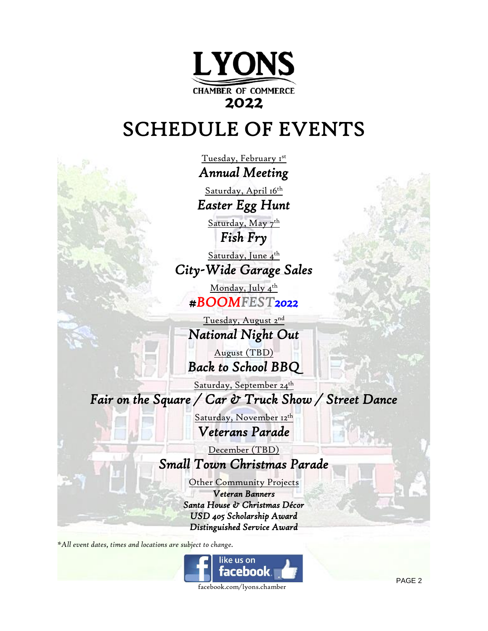

# SCHEDULE OF EVENTS

Tuesday, February 1st *Annual Meeting* 

Saturday, April 16th *Easter Egg Hunt* 

Saturday, May 7<sup>th</sup> *Fish Fry* 

Saturday, June 4<sup>th</sup> *City-Wide Garage Sales* 

Monday, July 4<sup>th</sup> *#BOOMFEST2022* 

Tuesday, August 2<sup>nd</sup> *National Night Out* 

August (TBD) *Back to School BBQ* 

Saturday, September 24 th *Fair on the Square / Car & Truck Show / Street Dance* 

> Saturday, November 12<sup>th</sup> *Veterans Parade*

> > December (TBD)

## *Small Town Christmas Parade*

Other Community Projects

*Veteran Banners Santa House & Christmas Décor USD 405 Scholarship Award Distinguished Service Award* 

*\*All event dates, times and locations are subject to change.*



PAGE 2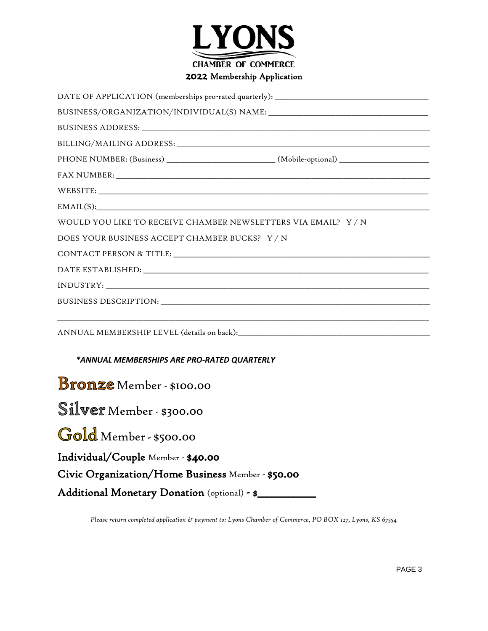

#### 2022 Membership Application

| PHONE NUMBER: (Business) __________________________(Mobile-optional) __________________ |
|-----------------------------------------------------------------------------------------|
|                                                                                         |
| WEBSITE:                                                                                |
| EMAIL(S):                                                                               |
| WOULD YOU LIKE TO RECEIVE CHAMBER NEWSLETTERS VIA EMAIL? Y/N                            |
| DOES YOUR BUSINESS ACCEPT CHAMBER BUCKS? Y/N                                            |
|                                                                                         |
|                                                                                         |
|                                                                                         |
|                                                                                         |
|                                                                                         |
| *ANNUAL MEMBERSHIPS ARE PRO-RATED QUARTERLY                                             |
| <b>Bronze</b> Member - \$100.00                                                         |
| Silver Member - \$300.00                                                                |
| Gold Member - \$500.00                                                                  |
| Individual/Couple Member - \$40.00                                                      |
| Civic Organization/Home Business Member - \$50.00                                       |
| Additional Monetary Donation (optional) - \$                                            |

*Please return completed application & payment to: Lyons Chamber of Commerce, PO BOX 127, Lyons, KS 67554*